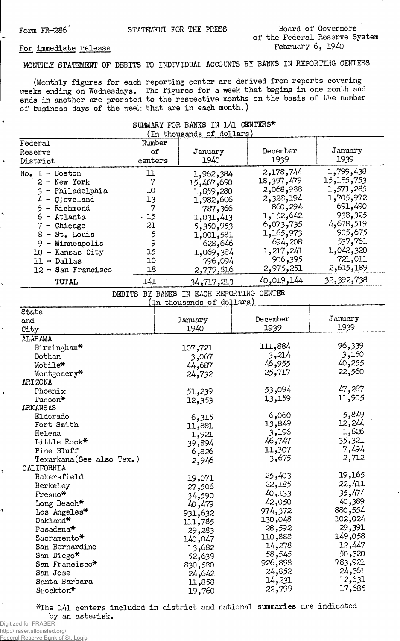## Form FR-286<sup>'</sup> STATEMENT FOR THE PRESS Board of Governors **of the Federal Reserve System February 6, 1940**

## **For immediate release**

**MONTHLY STATEMENT OF DEBITS TO INDIVIDUAL ACCOUNTS BY BANKS IN REPORTING CENTERS**

**(Monthly figures for each reporting center are derived from reports covering weeks ending on Wednesdays. The figures for a week that begins in one month and ends in another are prorated to the respective months on the basis of the number of business days of the week that are in each month.)**

## **SUMMARY FOR BANKS IN 141 CENTERS\***

| Federal                     | Number         |                                          |            |            |
|-----------------------------|----------------|------------------------------------------|------------|------------|
| Reserve                     | of             | January                                  | December   | January    |
| District                    | centers        | 1940                                     | 1939       | 1939       |
| $No_{\bullet}$ 1 - Boston   | <u>11</u>      | 1,962,384                                | 2,178,744  | 1,799,438  |
| $2 - New York$              | $\overline{7}$ | 15,467,690                               | 18,397,479 | 15,185,753 |
| - Philadelphia<br>3         | 10             | 1,859,280                                | 2,068,988  | 1,571,285  |
| $4 -$ Cleveland             | 13             | 1,982,606                                | 2,328,194  | 1,705,972  |
| 5<br>- Richmond             | $\overline{7}$ | 787,366                                  | 860,294    | 691,490    |
| - Atlanta<br>6              | . 15           | 1,031,413                                | 1,152,642  | 938,325    |
| - Chicago                   | 21             | 5,350,953                                | 6,073,735  | 4,678,519  |
| $8 - St.$ Louis             | 5              | 1,001,581                                | 1,165,973  | 905,675    |
| - Minneapolis<br>9          | 9              | 628,646                                  | 694,208    | 537,761    |
| 10 - Kansas City            | 15             |                                          | 1,217,241  | 1,042,320  |
| $11 -$ Dallas               | 10             | 1,069,384                                | 906,395    | 721,011    |
|                             | 18             | 796,094                                  | 2,975,251  | 2,615,189  |
| 12 - San Francisco<br>TOTAL | 141            | 2,779,816                                | 40,019,144 | 32,392,738 |
|                             |                | 34 <b>,</b> 717,213                      |            |            |
|                             |                | DEBITS BY BANKS IN EACH REPORTING CENTER |            |            |
| State                       |                | (In thousands of dollars)                |            |            |
|                             |                | January                                  | December   | January    |
| and                         |                | 1940                                     | 1939       | 1939       |
| City                        |                |                                          |            |            |
| <b>ALABAMA</b>              |                |                                          | 111,884    | 96,339     |
| Birmingham*                 |                | 107,721                                  | 3,214      | 3,150      |
| Dothan                      |                | 3,067                                    | 46,955     | 40,255     |
| Mobile*                     |                | 44,687                                   |            | 22,560     |
| Montgomery*                 |                | 24,732                                   | 25,717     |            |
| ARIZONA                     |                |                                          | 53,094     | 47,267     |
| Phoenix                     |                | 51,239                                   |            | 11,905     |
| Tucson*                     |                | 12,353                                   | 13,159     |            |
| <b>ARKANSAS</b>             |                |                                          | 6,060      | 5,849      |
| Eldorado                    |                | 6,315                                    | 13,849     | 12,244     |
| Fort Smith                  |                | 11,881                                   | 3,196      | 1,626      |
| Helena                      |                | 1,921                                    |            | 35,321     |
| Little Rock*                |                | 39,894                                   | 46,747     |            |
| Pine Bluff                  |                | 6,826                                    | $-11,307$  | 7,494      |
| Texarkana (See also Tex.)   |                | 2,946                                    | 3,675      | 2,712      |
| CALIFORNIA                  |                |                                          |            | 19,165     |
| Bakersfield                 |                | 19,071                                   | 25,403     | 22,411     |
| Berkeley                    |                | 27,506                                   | 22,185     |            |
| Fresno*                     |                | 34,590                                   | 40,133     | 35,474     |
| Long Beach*                 |                | 40,479                                   | 42,050     | 40,389     |
| Los Angeles*                |                | 931,632                                  | 974,372    | 880,554    |
| Oakland*                    |                | 111,785                                  | 130,048    | 102,024    |
| Pasadena <sup>*</sup>       |                | 29,283                                   | 28,592     | 29,391     |
| Sacramento*                 |                | 140,047                                  | 110,888    | 149,058    |
| San Bernardino              |                | 13,682                                   | 14,278     | 12,447     |
| San Diego*                  |                | 52,639                                   | 58,545     | 50,320     |
| San Francisco*              |                | 830,580                                  | 926,898    | 783,921    |
| San Jose                    |                | 24,642                                   | 24,852     | 24,361     |
| Santa Barbara               |                | 11,858                                   | 14,231     | 12,631     |
| Stockton*                   |                | 19,760                                   | 22,799     | 17,685     |
|                             |                |                                          |            |            |

**\*The 141 centers included in district and national summaries are indicated by an asterisk.**

Ń

Federal Reserve Bank of St. Louis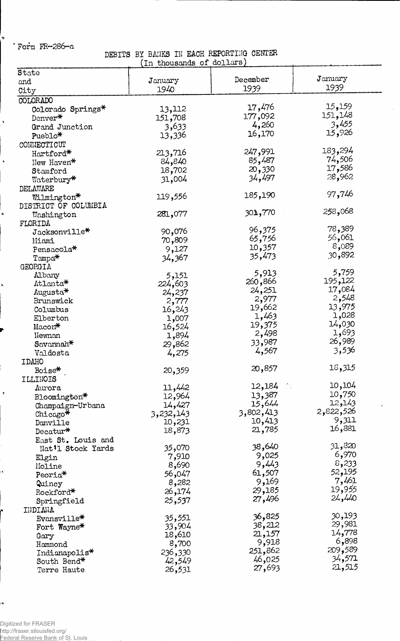**Fora FR-286-a**

 $\ddot{\phantom{1}}$ 

 $\mathbf{y}$ 

ŀ.

÷,

DEBITS BY BANKS IN EACH REPORTING CENTER (In thousands of dollars)

| State                 |                 |           |           |
|-----------------------|-----------------|-----------|-----------|
| and                   | January         | December  | January   |
| City                  | 1940            | 1939      | 1939      |
| COLORADO              |                 |           |           |
| Colorado Springs*     | 13,112          | 17,476    | 15,159    |
| Denver*               | 151,708         | 177,092   | 151,148   |
| Grand Junction        | 3,633           | 4,260     | 3,455     |
| Pueblo*               |                 | 16,170    | 15,926    |
|                       | 13,336          |           |           |
| CONNECTICUT           |                 | 247,991   | 183,294   |
| Hartford*             | 213,716         |           | 74,506    |
| New Haven*            | 84,840          | 85,487    | 17,586    |
| Stamford              | 18,702          | 20,330    | 28,962    |
| Waterbury*            | 31,004          | 34,497    |           |
| DELAWARE              |                 |           |           |
| Wilmington*           | 119,556         | 185,190   | 97,746    |
| DISTRICT OF COLUMBIA  |                 |           |           |
| Washington            | 281,077         | 301,770   | 258,068   |
| FLORIDA               |                 |           |           |
| Jacksonville*         | 90,076          | 96,375    | 78,389    |
| Miami                 | 70,809          | 65,756    | 56,061    |
| Pensacola*            | 9,127           | 10,357    | 8,089     |
| $Tampa*$              | 34,367          | 35,473    | 30,892    |
| GEORGIA               |                 |           |           |
| Albany                | 5,151           | 5,913     | 5,759     |
| Atlanta*              | 224,603         | ,866 260  | 195,122   |
| Augusta*              | 24,237          | 24,251    | 17,084    |
| Brunswick             |                 | 2,977     | 2,548     |
| Columbus              | 2,777<br>16,243 | 19,662    | 13,975    |
| Elberton              |                 | 1,463     | 1,028     |
|                       | 1,007           | 19,375    | 14,030    |
| Macon*                | 16,524          | 2,498     | 1,693     |
| Newnan                | 1,894           | 33,987    | 26,989    |
| Savannah <sup>*</sup> | 29,862          | 4,567     | 3,536     |
| Valdosta              | 4,275           |           |           |
| <b>IDAHO</b>          |                 |           | 18,315    |
| Boise*                | 20,359          | 20,857    |           |
| ILLINOIS              |                 |           |           |
| Aurora                | 11,442          | 12,184    | 10,104    |
| Bloomington*          | 12,964          | 13,387    | 10,750    |
| Champaign-Urbana      | 14,427          | 15,644    | 12,143    |
| Chicago*              | 3,232,143       | 3,802,413 | 2,822,526 |
| Danville              | 10,231          | 10,413    | 9,311     |
| Decatur $*$           | 18,873          | 21,785    | 16,881    |
| East St. Louis and    |                 |           |           |
| Nat'l Stock Yards     | 35,070          | 38,640    | 31,820    |
| Elgin                 | 7,910           | 9,025     | 6,970     |
| Moline                | 8,690           | 9,443     | 8,233     |
| Peoria*               | 56,047          | 61,507    | 52,195    |
| Quincy                | 8,282           | 9,169     | 7,461     |
| Rockford*             | 26,174          | 29,185    | 19,955    |
| Springfield           | 25,537          | 27,496    | 24,440    |
| INDIANA               |                 |           |           |
| Evansville*           | 35,551          | 36,825    | 30,193    |
|                       | 33,904          | 38,212    | 29,981    |
| Fort Wayne*           | 18,610          | 21,157    | 14,778    |
| Gary                  |                 | 9,918     | 6,898     |
| Hammond               | 8,700           | 251,862   | 209,589   |
| Indianapolis*         | 236,330         | 46,025    | 34,571    |
| South Bend*           | 42,549          | 27,693    | 21,515    |
| Terre Haute           | 26,531          |           |           |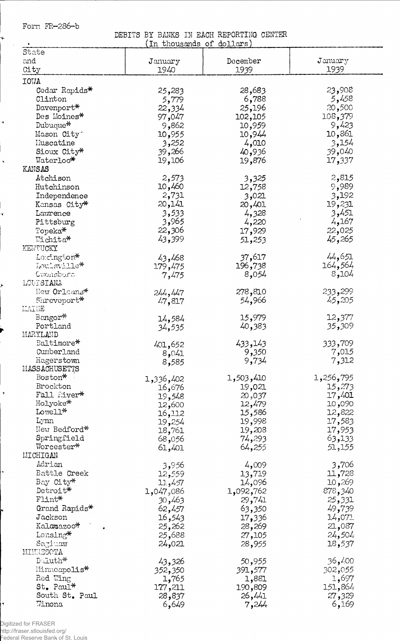Form FR-286-b

 $\star$  $\bar{\gamma}$ 

 $\ddot{\phantom{1}}$ 

 $\overline{\phantom{a}}$  $\hat{\mathbf{x}}$ 

ų

ł

DEBITS BY BANKS IN EACH REPORTING CENTER<br>(In thousands of dollars)

| $\ddot{\phantom{1}}$        | 'ın thousands or  | goTTars)          |                   |
|-----------------------------|-------------------|-------------------|-------------------|
| State                       |                   |                   |                   |
| and                         | January           | December          | $J$ anuar $y$     |
| City                        | 1940              | 1939              | 1939              |
| <b>IOWA</b>                 |                   |                   |                   |
| Cedar Rapids*               | 25,283            | 28,683            | 23,908            |
| Clinton                     | 5,779             | 6,788             | 5,458             |
| Davenport*                  | 22,334            | 25,196            | 20,500            |
| Des Moines*                 | 97,047            | 102,105           | 108,379           |
| Dubuque*                    | 9,862             | 10,959            | 9,423             |
| Mason City                  | 10,955            | 10,944            | 10,861            |
| Muscatine                   | 3,252             | 4,010             | 3,154             |
| Sioux City*                 | 39,266            | 40,936            | 39,040            |
| Waterloo*                   | 19,106            | 19,876            | 17,337            |
| KANSAS                      |                   |                   |                   |
| Atchison                    | 2,573             | 3,325             | 2,815             |
| Hutchinson                  | 10,460            | 12,758            | 9,989             |
| Independence                | 2,731             | 3,021             | 3,192             |
| Kansas City*                | 20,141            | 20,401            | 19,231            |
| Lawrence                    | 3,533             | 4,328             | 3,451             |
| Pittsburg                   | 3,965             | 4,220             | 4,167             |
| Topeka*                     | 22,306            |                   | 22,025            |
| Wichita*                    | 43,399            | 17,929            | 45,265            |
|                             |                   | 51,253            |                   |
| KEWTUCKY                    |                   | 37,617            | 44,651            |
| Lexington*                  | 43,468            |                   |                   |
| Louisville*                 | 179,475           | 196,738           | 164,564<br>8,104  |
| Gwensboro<br>LOUISIANA      | 7,475             | 8,054             |                   |
|                             |                   |                   |                   |
| New Orleans*<br>Shreveport* | 244,447           | 278,810           | 233,299<br>45,205 |
| MAINE                       | 47,817            | 54,966            |                   |
| Bangor*                     |                   |                   | 12,377            |
| Portland                    | 14,584            | 15,979<br>40,383  | 35,309            |
| MARYLAND                    | 34,535            |                   |                   |
| Baltimore*                  |                   | 433,143           | 333,709           |
| Cumberland                  | 401,652           | 9,350             | 7,015             |
| Hagerstown                  | 8,041             | 9,734             | 7,312             |
| MASSACHUSETTS               | 8,585             |                   |                   |
| Boston*                     | 1,336,402         | 1,503,410         | 1,256,795         |
| Brockton                    | 16,676            | 19,021            | 15,273            |
| Fall River*                 | 19,548            | 20,037            | 17,401            |
| Holyoke*                    | 12,600            | 12,479            | 10,090            |
| Lowell*                     | 16,112            | 15,586            | 12,822            |
| Lynn                        | 19,254            | 19,998            | 17,583            |
| New Bedford*                | 18,761            | 19,208            | 17,953            |
| Springfield                 | 68,056            | 74,293            | 63,133            |
| Worcester*                  | 61,401            | 64,255            | 51,155            |
| MICHIGAN                    |                   |                   |                   |
| Adrian                      | 3,956             | 4,009             | 3,706             |
| Battle Creek                | 12,559            | 13,719            | 11,728            |
| Bay City*                   | 11,457            | 14,096            | 269, 10           |
| Detroit*                    | 1,047,086         | 1,092,762         | 878,340           |
| $F1$ int $*$                | 30,463            | 29,741            | 25,331            |
| Grand Rapids*               | 62,457            | 63,350            | 49,739            |
| Jackson                     | 16,543            | 17,336            | 14,071            |
| Kalamazoo*                  | 25,262            | 28,269            | 21,087            |
| Lansing*                    | 25,688            | 27,105            | 24,504            |
| Saginaw                     | 24,021            | 28,955            | 18,537            |
| MINNESCTA                   |                   |                   |                   |
| Duluth*                     |                   |                   | 36,400            |
| Minneapolis*                | 43,326            | 50,955            |                   |
| Red Wing                    | 352,350           | 391,577           | 302,055<br>1,697  |
| $St_{\bullet}$ Paul*        | 1,765             | 1,881             | 151,864           |
| South St. Paul              | 177,211<br>28,837 | 190,809<br>26,441 | 27,329            |
| Winona                      | 6,649             | 7,244             | 6,169             |
|                             |                   |                   |                   |

.<br>Digitized for FRASER<br>http://fraser.stlouisfed.org/<br>Federal Reserve Bank of St. Louis

 $\overline{\mathcal{A}}$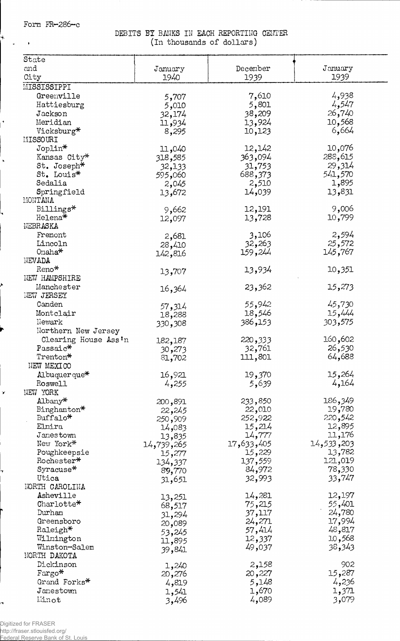**Form FR-286-c**

 $+$  $\sim$ 

Ì

 $\mathbf{v}$ 

**DEBITS BY BANKS IN EACH REPORTING CENTER . (in thousands of dollars)**

| State                |            |            |             |
|----------------------|------------|------------|-------------|
|                      |            |            |             |
| and                  | January    | December   | January     |
| City                 | 1940       | 1939       | 1939        |
| MISSISSIPPI          |            |            |             |
| Greenville           | 5,707      | 7,610      | 4,938       |
| Hattiesburg          |            | 5,801      | 4,547       |
|                      | 5,010      |            |             |
| Jackson              | 32,174     | 38,209     | 26,740      |
| Meridian             | 11,934     | 13,924     | 10,568      |
| Vicksburg*           | 8,295      | 10,123     | 6,664       |
| MISSOURI             |            |            |             |
| Joplin*              | 11,040     | 12,142     | 10,076      |
|                      |            | 363,094    | 288,615     |
| Kansas City*         | 318,585    |            |             |
| St. Joseph*          | 32,133     | 31,753     | 29,314      |
| St. Louis*           | 060و595    | 688,373    | 541,570     |
| Sedalia              | 2,045      | 2,510      | 1,895       |
| Springfield          | 13,672     | 14,039     | 13,831      |
| MONTANA              |            |            |             |
|                      |            |            | 9,006       |
| Billings*            | 9,662      | 12,191     |             |
| Helena*              | 12,097     | 13,728     | 10,799      |
| NEBRASKA             |            |            |             |
| Fremont              | 2,681      | 3,106      | 2,594       |
| Lincoln              | 28,410     | 32,263     | 25,572      |
| $On a ha*$           |            | 159,244    | 145,767     |
| NEVADA               | 142,816    |            |             |
|                      |            |            |             |
| Reno*                | 13,707     | 13,934     | 10,351      |
| <b>NEW HAMPSHIRE</b> |            |            |             |
| Manchester           | 16,364     | 23,362     | 15,273      |
| <b>NEW JERSEY</b>    |            |            |             |
| Canden               |            | 55,942     | 45,730      |
|                      | 57,314     |            |             |
| Montclair            | 18,288     | 18,546     | 15,444      |
| Newark               | 330,308    | 386,153    | 303,575     |
| Northern New Jersey  |            |            |             |
| Clearing House Ass'n | 182,187    | 220,333    | 160,602     |
| Passaic*             |            | 32,761     | 26,530      |
|                      | 30,273     |            |             |
| Trenton*             | 81,702     | 111,801    | 64,688      |
| NEW MEXICO           |            |            |             |
| Albuquerque*         | 16,921     | 19,370     | 15,264      |
| Roswell              | 4,255      | 5,639      | 4,164       |
| NEW YORK             |            |            |             |
|                      |            |            | 186,349     |
| $\text{Albany*}$     | 200,891    | 233,850    |             |
| Binghamton*          | 22,245     | 22,010     | 19,780      |
| Buffalo*             | 250,909    | 252,922    | 220,542     |
| Elmira               | 14,083     | 15,214     | 12,895      |
| Jamestown            | 13,835     | 14,777     | 11,176      |
| New York*            |            | 17,633,405 | 203, 533–14 |
|                      | 14,739,265 |            |             |
| Poughkeepsie         | 15,277     | 15,229     | 13,782      |
| Rochester*           | 134,337    | 137,559    | 121,019     |
| Syracuse*            | 89,770     | 84,972     | 78,330      |
| Utica                | 31,651     | 32,993     | 33,747      |
| NORTH CAROLINA       |            |            |             |
| Asheville            |            | 14,281     | 12,197      |
| Charlotte*           | 13,251     |            | 55,401      |
|                      | 68,517     | 75,215     |             |
| Durham               | 31,294     | 37,117     | 24,780      |
| Greensboro           | 20,089     | 24,271     | 17,994      |
| Raleigh*             | 53,245     | 57,414     | 48,817      |
| Wilmington           | 11,895     | 12,337     | 10,568      |
| Winston-Salem        |            | 49,037     | 38,343      |
| NORTH DAKOTA         | 39,841     |            |             |
|                      |            |            |             |
| Dickinson            | 1,240      | 2,158      | 902         |
| $\text{Fargo*}$      | 20,276     | 20,227     | 15,287      |
| Grand Forks*         | 4,819      | 5,148      | 4,236       |
| Janestown            | 1,541      | 1,670      | 1,371       |
| Linot                | 3,496      | 4,089      | 3,079       |
|                      |            |            |             |

Digitized for FRASER http://fraser.stlouisfed.org/

Ħ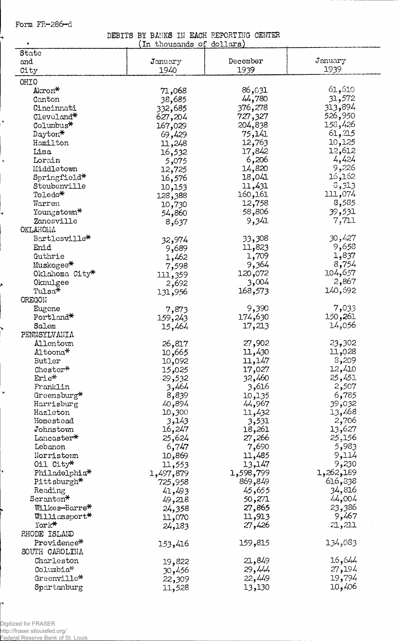**Form FR-286-d**

↳

 $\lambda$ 

 $\bar{\mathbf{r}}$ 

r

**DEBITS BY BANKS 111 EACH REPORTING CENTER**

| ٠                         | In thousands of dollars) |           |           |
|---------------------------|--------------------------|-----------|-----------|
| State                     |                          |           |           |
| and                       | January                  | December  | January   |
| City                      | 1940                     | 1939      | 1939      |
| OHIO                      |                          |           |           |
| Akron*                    | 71,068                   | 86,031    | 61,610    |
| Canton                    | 38,685                   | 44,780    | 31,572    |
| Cincinnati                | 332,685                  | 376,278   | 313,894   |
| Cleveland*                | 627,204                  | 727,327   | 526,950   |
| Columbus <sup>*</sup>     | 167,029                  | 204,838   | 158,426   |
| Dayton*                   | 69,429                   | 75,141    | 61,215    |
| Hamilton                  | 11,248                   | 12,763    | 10,125    |
| Lima                      | 16,532                   | 17,842    | 12,612    |
| Lorain                    | 5,075                    | 6,206     | 4,424     |
| Middletown                | 12,725                   | 14,820    | 9,226     |
| Springfield*              | 16,576                   | 18,041    | 16,162    |
| Steubenville              |                          | 11,431    | 3,313     |
| Toledo*                   | 10,153                   | 160,161   | 111,074   |
| Warren                    | 128,388                  | 12,758    | 8,585     |
|                           | 10,730                   | 58,806    | 39,531    |
| Youngstown*               | 54,860                   |           |           |
| Zanesville                | 8,637                    | 9,341     | 7,711     |
| OKLAHOMA                  |                          |           |           |
| Bartlesville*             | 32,974                   | 33,308    | 30,427    |
| Enid                      | 9,689                    | 11,823    | 9,658     |
| Guthrie                   | 1,462                    | 1,709     | 1,837     |
| Muskogee*                 | 7,598                    | 9,364     | 8,754     |
| Oklahoma City*            | 111,359                  | 120,072   | 104,657   |
| Okmulgee                  | 2,692                    | 3,004     | 2,867     |
| Tulsa*                    | 131,956                  | 168,573   | 140,692   |
| OREGON                    |                          |           |           |
| Eugene                    | 7,873                    | 9,390     | 7,033     |
| Portland*                 | 159,243                  | 174,630   | 150,261   |
| Salem                     | 15,464                   | 17,213    | 14,056    |
| PENNSYLVANIA              |                          |           |           |
| Allentown                 | 26,817                   | 27,902    | 23,302    |
| Altoona*                  | 10,665                   | 11,430    | 11,028    |
| Butler                    | 10,092                   | 11,147    | 8,209     |
| Chester*                  | 15,025                   | 17,027    | 12,410    |
| Erie*                     | 29,532                   | 32,460    | 25,451    |
| Franklin                  | 3,464                    | 3,616     | 2,507     |
| Greensburg*               |                          |           | 6,785     |
|                           | 8,839                    | 10,135    |           |
| Harrisburg                | 40,894                   | 44,967    | 39,032    |
| Hazleton                  | 10,300                   | 11,432    | 13,468    |
| Homestead                 | 3,143                    | 3,531     | 2,706     |
| Johnstown                 | 16,247                   | 18,261    | 13,627    |
| Lancaster*                | 25,624                   | 27,266    | 25,156    |
| Lebanon                   | 6,747                    | 7,690     | 5,983     |
| Norristown                | 10,869                   | 11,485    | 9,114     |
| Oil City*                 | 11,553                   | 13,147    | 9,230     |
| Philadelphia <sup>*</sup> | 1,497,879                | 1,598,799 | 1,262,189 |
| Pittsburgh*               | 725,958                  | 869,849   | 616,338   |
| Reading                   | 41,493                   | 45,655    | 34,816    |
| Scranton*                 | 49,218                   | 50,271    | 44,004    |
| Wilkes-Barre*             | 24,358                   | 27,865    | 23,386    |
| Williamsport*             | 11,070                   | 11,913    | 9,467     |
| York*                     | 24,183                   | 27,426    | 21,211    |
| RHODE ISLAND              |                          |           |           |
| Providence*               | 153,416                  | 159,815   | 134,083   |
| SOUTH CAROLINA            |                          |           |           |
| Charleston                |                          | 21,849    | 16,644    |
| Columbia*                 | 19,822                   |           |           |
|                           | 30,456                   | 29,444    | 27,194    |
| Greenville*               | 22,309                   | 22,449    | 19,794    |
| Spartanburg               | 11,528                   | 13,130    | 10,406    |